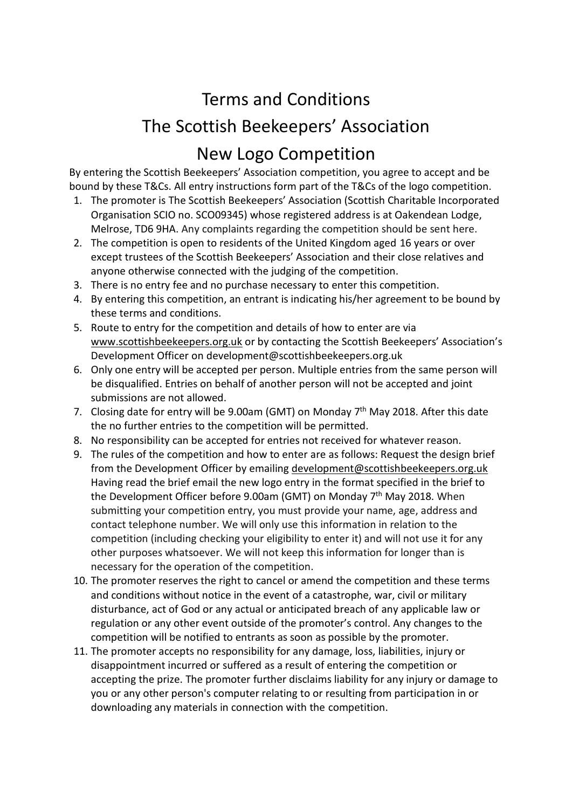## Terms and Conditions The Scottish Beekeepers' Association New Logo Competition

By entering the Scottish Beekeepers' Association competition, you agree to accept and be bound by these T&Cs. All entry instructions form part of the T&Cs of the logo competition.

- 1. The promoter is The Scottish Beekeepers' Association (Scottish Charitable Incorporated Organisation SCIO no. SCO09345) whose registered address is at Oakendean Lodge, Melrose, TD6 9HA. Any complaints regarding the competition should be sent here.
- 2. The competition is open to residents of the United Kingdom aged 16 years or over except trustees of the Scottish Beekeepers' Association and their close relatives and anyone otherwise connected with the judging of the competition.
- 3. There is no entry fee and no purchase necessary to enter this competition.
- 4. By entering this competition, an entrant is indicating his/her agreement to be bound by these terms and conditions.
- 5. Route to entry for the competition and details of how to enter are via [www.scottishbeekeepers.org.uk](http://www.scottishbeekeepers.org.uk/) or by contacting the Scottish Beekeepers' Association's Development Officer on development@scottishbeekeepers.org.uk
- 6. Only one entry will be accepted per person. Multiple entries from the same person will be disqualified. Entries on behalf of another person will not be accepted and joint submissions are not allowed.
- 7. Closing date for entry will be 9.00am (GMT) on Monday 7<sup>th</sup> May 2018. After this date the no further entries to the competition will be permitted.
- 8. No responsibility can be accepted for entries not received for whatever reason.
- 9. The rules of the competition and how to enter are as follows: Request the design brief from the Development Officer by emailing [development@scottishbeekeepers.org.uk](mailto:development@scottishbeekeepers.org.uk) Having read the brief email the new logo entry in the format specified in the brief to the Development Officer before 9.00am (GMT) on Monday 7<sup>th</sup> May 2018. When submitting your competition entry, you must provide your name, age, address and contact telephone number. We will only use this information in relation to the competition (including checking your eligibility to enter it) and will not use it for any other purposes whatsoever. We will not keep this information for longer than is necessary for the operation of the competition.
- 10. The promoter reserves the right to cancel or amend the competition and these terms and conditions without notice in the event of a catastrophe, war, civil or military disturbance, act of God or any actual or anticipated breach of any applicable law or regulation or any other event outside of the promoter's control. Any changes to the competition will be notified to entrants as soon as possible by the promoter.
- 11. The promoter accepts no responsibility for any damage, loss, liabilities, injury or disappointment incurred or suffered as a result of entering the competition or accepting the prize. The promoter further disclaims liability for any injury or damage to you or any other person's computer relating to or resulting from participation in or downloading any materials in connection with the competition.